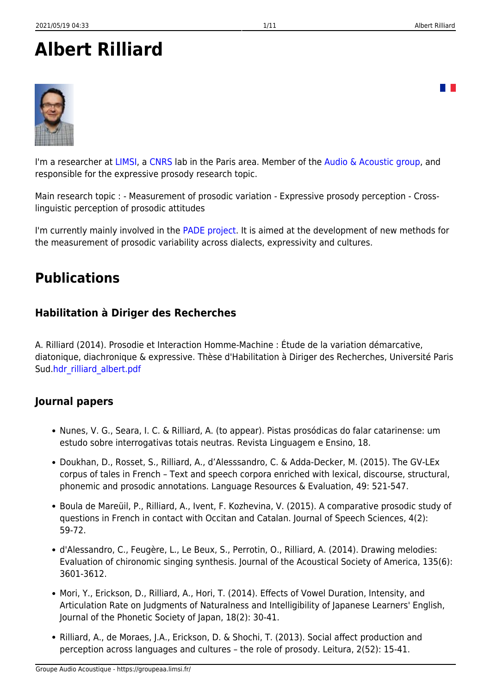# **Albert Rilliard**



I'm a researcher at [LIMSI,](http://www.limsi.fr/) a [CNRS](http://www.cnrs.fr/) lab in the Paris area. Member of the [Audio & Acoustic group,](http://www.limsi.fr/aa/) and responsible for the expressive prosody research topic.

Main research topic : - Measurement of prosodic variation - Expressive prosody perception - Crosslinguistic perception of prosodic attitudes

I'm currently mainly involved in the [PADE project](http://pade.limsi.fr/). It is aimed at the development of new methods for the measurement of prosodic variability across dialects, expressivity and cultures.

## **Publications**

### **Habilitation à Diriger des Recherches**

A. Rilliard (2014). Prosodie et Interaction Homme-Machine : Étude de la variation démarcative, diatonique, diachronique & expressive. Thèse d'Habilitation à Diriger des Recherches, Université Paris Sud[.hdr\\_rilliard\\_albert.pdf](https://groupeaa.limsi.fr/_media/membres:rilliard:hdr_rilliard_albert.pdf)

### **Journal papers**

- Nunes, V. G., Seara, I. C. & Rilliard, A. (to appear). Pistas prosódicas do falar catarinense: um estudo sobre interrogativas totais neutras. Revista Linguagem e Ensino, 18.
- Doukhan, D., Rosset, S., Rilliard, A., d'Alesssandro, C. & Adda-Decker, M. (2015). The GV-LEx corpus of tales in French – Text and speech corpora enriched with lexical, discourse, structural, phonemic and prosodic annotations. Language Resources & Evaluation, 49: 521-547.
- Boula de Mareüil, P., Rilliard, A., Ivent, F. Kozhevina, V. (2015). A comparative prosodic study of questions in French in contact with Occitan and Catalan. Journal of Speech Sciences, 4(2): 59-72.
- d'Alessandro, C., Feugère, L., Le Beux, S., Perrotin, O., Rilliard, A. (2014). Drawing melodies: Evaluation of chironomic singing synthesis. Journal of the Acoustical Society of America, 135(6): 3601-3612.
- Mori, Y., Erickson, D., Rilliard, A., Hori, T. (2014). Effects of Vowel Duration, Intensity, and Articulation Rate on Judgments of Naturalness and Intelligibility of Japanese Learners' English, Journal of the Phonetic Society of Japan, 18(2): 30-41.
- Rilliard, A., de Moraes, J.A., Erickson, D. & Shochi, T. (2013). Social affect production and perception across languages and cultures – the role of prosody. Leitura, 2(52): 15-41.

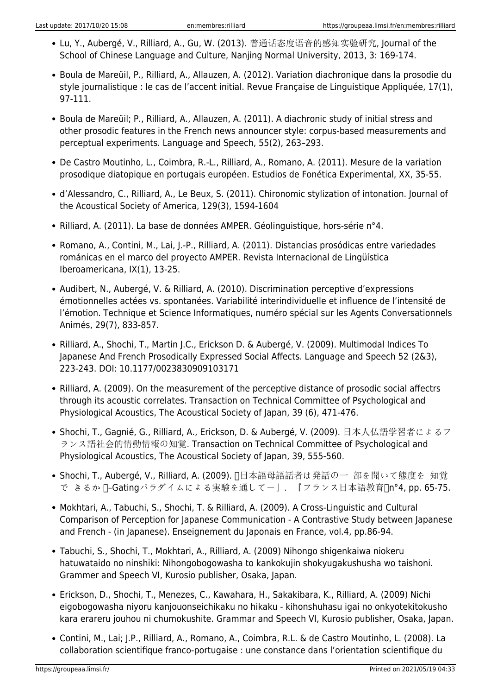- Lu, Y., Aubergé, V., Rilliard, A., Gu, W. (2013). 普通话态度语音的感知实验研究, Journal of the School of Chinese Language and Culture, Nanjing Normal University, 2013, 3: 169-174.
- Boula de Mareüil, P., Rilliard, A., Allauzen, A. (2012). Variation diachronique dans la prosodie du style journalistique : le cas de l'accent initial. Revue Française de Linguistique Appliquée, 17(1), 97-111.
- Boula de Mareüil; P., Rilliard, A., Allauzen, A. (2011). A diachronic study of initial stress and other prosodic features in the French news announcer style: corpus-based measurements and perceptual experiments. Language and Speech, 55(2), 263–293.
- De Castro Moutinho, L., Coimbra, R.-L., Rilliard, A., Romano, A. (2011). Mesure de la variation prosodique diatopique en portugais européen. Estudios de Fonética Experimental, XX, 35-55.
- d'Alessandro, C., Rilliard, A., Le Beux, S. (2011). Chironomic stylization of intonation. Journal of the Acoustical Society of America, 129(3), 1594-1604
- Rilliard, A. (2011). La base de données AMPER. Géolinguistique, hors-série n°4.
- Romano, A., Contini, M., Lai, J.-P., Rilliard, A. (2011). Distancias prosódicas entre variedades románicas en el marco del proyecto AMPER. Revista Internacional de Lingüística Iberoamericana, IX(1), 13-25.
- Audibert, N., Aubergé, V. & Rilliard, A. (2010). Discrimination perceptive d'expressions émotionnelles actées vs. spontanées. Variabilité interindividuelle et influence de l'intensité de l'émotion. Technique et Science Informatiques, numéro spécial sur les Agents Conversationnels Animés, 29(7), 833-857.
- Rilliard, A., Shochi, T., Martin J.C., Erickson D. & Aubergé, V. (2009). Multimodal Indices To Japanese And French Prosodically Expressed Social Affects. Language and Speech 52 (2&3), 223-243. DOI: 10.1177/0023830909103171
- Rilliard, A. (2009). On the measurement of the perceptive distance of prosodic social affectrs through its acoustic correlates. Transaction on Technical Committee of Psychological and Physiological Acoustics, The Acoustical Society of Japan, 39 (6), 471-476.
- Shochi, T., Gagnié, G., Rilliard, A., Erickson, D. & Aubergé, V. (2009). 日本人仏語学習者によるフ ランス語社会的情動情報の知覚. Transaction on Technical Committee of Psychological and Physiological Acoustics, The Acoustical Society of Japan, 39, 555-560.
- Shochi, T., Aubergé, V., Rilliard, A. (2009). 日本語母語話者は発話の一 部を聞いて態度を 知覚 で きるか ∏–Gatingパラダイムによる実験を通してー」. 『フランス日本語教育∏n°4, pp. 65-75.
- Mokhtari, A., Tabuchi, S., Shochi, T. & Rilliard, A. (2009). A Cross-Linguistic and Cultural Comparison of Perception for Japanese Communication - A Contrastive Study between Japanese and French - (in Japanese). Enseignement du Japonais en France, vol.4, pp.86-94.
- Tabuchi, S., Shochi, T., Mokhtari, A., Rilliard, A. (2009) Nihongo shigenkaiwa niokeru hatuwataido no ninshiki: Nihongobogowasha to kankokujin shokyugakushusha wo taishoni. Grammer and Speech VI, Kurosio publisher, Osaka, Japan.
- Erickson, D., Shochi, T., Menezes, C., Kawahara, H., Sakakibara, K., Rilliard, A. (2009) Nichi eigobogowasha niyoru kanjouonseichikaku no hikaku - kihonshuhasu igai no onkyotekitokusho kara erareru jouhou ni chumokushite. Grammar and Speech VI, Kurosio publisher, Osaka, Japan.
- Contini, M., Lai; J.P., Rilliard, A., Romano, A., Coimbra, R.L. & de Castro Moutinho, L. (2008). La collaboration scientifique franco-portugaise : une constance dans l'orientation scientifique du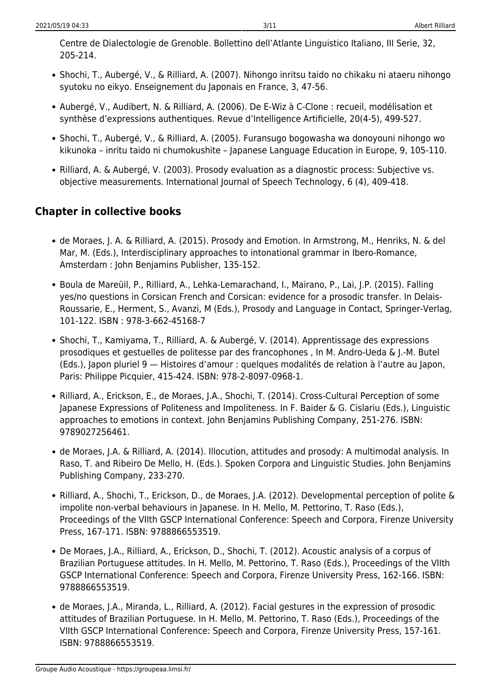Centre de Dialectologie de Grenoble. Bollettino dell'Atlante Linguistico Italiano, III Serie, 32, 205-214.

- Shochi, T., Aubergé, V., & Rilliard, A. (2007). Nihongo inritsu taido no chikaku ni ataeru nihongo syutoku no eikyo. Enseignement du Japonais en France, 3, 47-56.
- Aubergé, V., Audibert, N. & Rilliard, A. (2006). De E-Wiz à C-Clone : recueil, modélisation et synthèse d'expressions authentiques. Revue d'Intelligence Artificielle, 20(4-5), 499-527.
- Shochi, T., Aubergé, V., & Rilliard, A. (2005). Furansugo bogowasha wa donoyouni nihongo wo kikunoka – inritu taido ni chumokushite – Japanese Language Education in Europe, 9, 105-110.
- Rilliard, A. & Aubergé, V. (2003). Prosody evaluation as a diagnostic process: Subjective vs. objective measurements. International Journal of Speech Technology, 6 (4), 409-418.

### **Chapter in collective books**

- de Moraes, J. A. & Rilliard, A. (2015). Prosody and Emotion. In Armstrong, M., Henriks, N. & del Mar, M. (Eds.), Interdisciplinary approaches to intonational grammar in Ibero-Romance, Amsterdam : John Benjamins Publisher, 135-152.
- Boula de Mareüil, P., Rilliard, A., Lehka-Lemarachand, I., Mairano, P., Lai, J.P. (2015). Falling yes/no questions in Corsican French and Corsican: evidence for a prosodic transfer. In Delais-Roussarie, E., Herment, S., Avanzi, M (Eds.), Prosody and Language in Contact, Springer-Verlag, 101-122. ISBN : 978-3-662-45168-7
- Shochi, T., Kamiyama, T., Rilliard, A. & Aubergé, V. (2014). Apprentissage des expressions prosodiques et gestuelles de politesse par des francophones , In M. Andro-Ueda & J.-M. Butel (Eds.), Japon pluriel 9 — Histoires d'amour : quelques modalités de relation à l'autre au Japon, Paris: Philippe Picquier, 415-424. ISBN: 978-2-8097-0968-1.
- Rilliard, A., Erickson, E., de Moraes, J.A., Shochi, T. (2014). Cross-Cultural Perception of some Japanese Expressions of Politeness and Impoliteness. In F. Baider & G. Cislariu (Eds.), Linguistic approaches to emotions in context. John Benjamins Publishing Company, 251-276. ISBN: 9789027256461.
- de Moraes, J.A. & Rilliard, A. (2014). Illocution, attitudes and prosody: A multimodal analysis. In Raso, T. and Ribeiro De Mello, H. (Eds.). Spoken Corpora and Linguistic Studies. John Benjamins Publishing Company, 233-270.
- Rilliard, A., Shochi, T., Erickson, D., de Moraes, J.A. (2012). Developmental perception of polite & impolite non-verbal behaviours in Japanese. In H. Mello, M. Pettorino, T. Raso (Eds.), Proceedings of the VIIth GSCP International Conference: Speech and Corpora, Firenze University Press, 167-171. ISBN: 9788866553519.
- De Moraes, J.A., Rilliard, A., Erickson, D., Shochi, T. (2012). Acoustic analysis of a corpus of Brazilian Portuguese attitudes. In H. Mello, M. Pettorino, T. Raso (Eds.), Proceedings of the VIIth GSCP International Conference: Speech and Corpora, Firenze University Press, 162-166. ISBN: 9788866553519.
- de Moraes, J.A., Miranda, L., Rilliard, A. (2012). Facial gestures in the expression of prosodic attitudes of Brazilian Portuguese. In H. Mello, M. Pettorino, T. Raso (Eds.), Proceedings of the VIIth GSCP International Conference: Speech and Corpora, Firenze University Press, 157-161. ISBN: 9788866553519.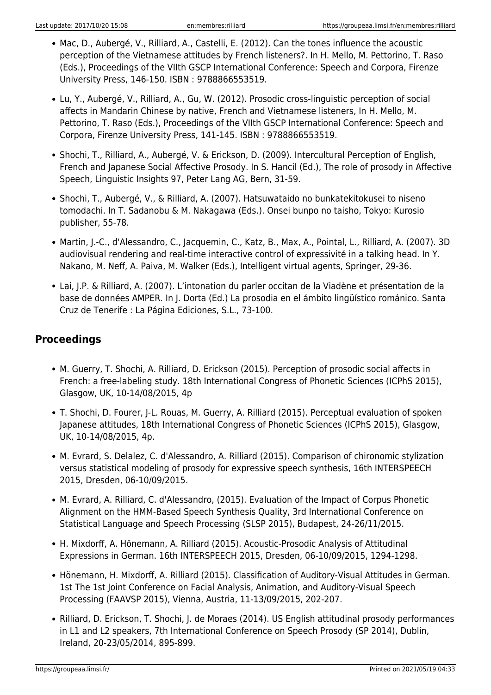- Mac, D., Aubergé, V., Rilliard, A., Castelli, E. (2012). Can the tones influence the acoustic perception of the Vietnamese attitudes by French listeners?. In H. Mello, M. Pettorino, T. Raso (Eds.), Proceedings of the VIIth GSCP International Conference: Speech and Corpora, Firenze University Press, 146-150. ISBN : 9788866553519.
- Lu, Y., Aubergé, V., Rilliard, A., Gu, W. (2012). Prosodic cross-linguistic perception of social affects in Mandarin Chinese by native, French and Vietnamese listeners, In H. Mello, M. Pettorino, T. Raso (Eds.), Proceedings of the VIIth GSCP International Conference: Speech and Corpora, Firenze University Press, 141-145. ISBN : 9788866553519.
- Shochi, T., Rilliard, A., Aubergé, V. & Erickson, D. (2009). Intercultural Perception of English, French and Japanese Social Affective Prosody. In S. Hancil (Ed.), The role of prosody in Affective Speech, Linguistic Insights 97, Peter Lang AG, Bern, 31-59.
- Shochi, T., Aubergé, V., & Rilliard, A. (2007). Hatsuwataido no bunkatekitokusei to niseno tomodachi. In T. Sadanobu & M. Nakagawa (Eds.). Onsei bunpo no taisho, Tokyo: Kurosio publisher, 55-78.
- Martin, J.-C., d'Alessandro, C., Jacquemin, C., Katz, B., Max, A., Pointal, L., Rilliard, A. (2007). 3D audiovisual rendering and real-time interactive control of expressivité in a talking head. In Y. Nakano, M. Neff, A. Paiva, M. Walker (Eds.), Intelligent virtual agents, Springer, 29-36.
- Lai, J.P. & Rilliard, A. (2007). L'intonation du parler occitan de la Viadène et présentation de la base de données AMPER. In J. Dorta (Ed.) La prosodia en el ámbito lingüístico románico. Santa Cruz de Tenerife : La Página Ediciones, S.L., 73-100.

#### **Proceedings**

- M. Guerry, T. Shochi, A. Rilliard, D. Erickson (2015). Perception of prosodic social affects in French: a free-labeling study. 18th International Congress of Phonetic Sciences (ICPhS 2015), Glasgow, UK, 10-14/08/2015, 4p
- T. Shochi, D. Fourer, J-L. Rouas, M. Guerry, A. Rilliard (2015). Perceptual evaluation of spoken Japanese attitudes, 18th International Congress of Phonetic Sciences (ICPhS 2015), Glasgow, UK, 10-14/08/2015, 4p.
- M. Evrard, S. Delalez, C. d'Alessandro, A. Rilliard (2015). Comparison of chironomic stylization versus statistical modeling of prosody for expressive speech synthesis, 16th INTERSPEECH 2015, Dresden, 06-10/09/2015.
- M. Evrard, A. Rilliard, C. d'Alessandro, (2015). Evaluation of the Impact of Corpus Phonetic Alignment on the HMM-Based Speech Synthesis Quality, 3rd International Conference on Statistical Language and Speech Processing (SLSP 2015), Budapest, 24-26/11/2015.
- H. Mixdorff, A. Hönemann, A. Rilliard (2015). Acoustic-Prosodic Analysis of Attitudinal Expressions in German. 16th INTERSPEECH 2015, Dresden, 06-10/09/2015, 1294-1298.
- Hönemann, H. Mixdorff, A. Rilliard (2015). Classification of Auditory-Visual Attitudes in German. 1st The 1st Joint Conference on Facial Analysis, Animation, and Auditory-Visual Speech Processing (FAAVSP 2015), Vienna, Austria, 11-13/09/2015, 202-207.
- Rilliard, D. Erickson, T. Shochi, J. de Moraes (2014). US English attitudinal prosody performances in L1 and L2 speakers, 7th International Conference on Speech Prosody (SP 2014), Dublin, Ireland, 20-23/05/2014, 895-899.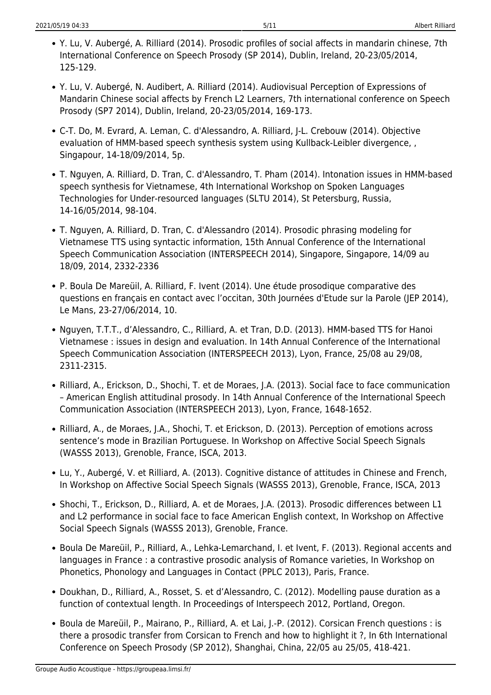- Y. Lu, V. Aubergé, A. Rilliard (2014). Prosodic profiles of social affects in mandarin chinese, 7th International Conference on Speech Prosody (SP 2014), Dublin, Ireland, 20-23/05/2014, 125-129.
- Y. Lu, V. Aubergé, N. Audibert, A. Rilliard (2014). Audiovisual Perception of Expressions of Mandarin Chinese social affects by French L2 Learners, 7th international conference on Speech Prosody (SP7 2014), Dublin, Ireland, 20-23/05/2014, 169-173.
- C-T. Do, M. Evrard, A. Leman, C. d'Alessandro, A. Rilliard, J-L. Crebouw (2014). Objective evaluation of HMM-based speech synthesis system using Kullback-Leibler divergence, , Singapour, 14-18/09/2014, 5p.
- T. Nguyen, A. Rilliard, D. Tran, C. d'Alessandro, T. Pham (2014). Intonation issues in HMM-based speech synthesis for Vietnamese, 4th International Workshop on Spoken Languages Technologies for Under-resourced languages (SLTU 2014), St Petersburg, Russia, 14-16/05/2014, 98-104.
- T. Nguyen, A. Rilliard, D. Tran, C. d'Alessandro (2014). Prosodic phrasing modeling for Vietnamese TTS using syntactic information, 15th Annual Conference of the International Speech Communication Association (INTERSPEECH 2014), Singapore, Singapore, 14/09 au 18/09, 2014, 2332-2336
- P. Boula De Mareüil, A. Rilliard, F. Ivent (2014). Une étude prosodique comparative des questions en français en contact avec l'occitan, 30th Journées d'Etude sur la Parole (JEP 2014), Le Mans, 23-27/06/2014, 10.
- Nguyen, T.T.T., d'Alessandro, C., Rilliard, A. et Tran, D.D. (2013). HMM-based TTS for Hanoi Vietnamese : issues in design and evaluation. In 14th Annual Conference of the International Speech Communication Association (INTERSPEECH 2013), Lyon, France, 25/08 au 29/08, 2311-2315.
- Rilliard, A., Erickson, D., Shochi, T. et de Moraes, J.A. (2013). Social face to face communication – American English attitudinal prosody. In 14th Annual Conference of the International Speech Communication Association (INTERSPEECH 2013), Lyon, France, 1648-1652.
- Rilliard, A., de Moraes, J.A., Shochi, T. et Erickson, D. (2013). Perception of emotions across sentence's mode in Brazilian Portuguese. In Workshop on Affective Social Speech Signals (WASSS 2013), Grenoble, France, ISCA, 2013.
- Lu, Y., Aubergé, V. et Rilliard, A. (2013). Cognitive distance of attitudes in Chinese and French, In Workshop on Affective Social Speech Signals (WASSS 2013), Grenoble, France, ISCA, 2013
- Shochi, T., Erickson, D., Rilliard, A. et de Moraes, J.A. (2013). Prosodic differences between L1 and L2 performance in social face to face American English context, In Workshop on Affective Social Speech Signals (WASSS 2013), Grenoble, France.
- Boula De Mareüil, P., Rilliard, A., Lehka-Lemarchand, I. et Ivent, F. (2013). Regional accents and languages in France : a contrastive prosodic analysis of Romance varieties, In Workshop on Phonetics, Phonology and Languages in Contact (PPLC 2013), Paris, France.
- Doukhan, D., Rilliard, A., Rosset, S. et d'Alessandro, C. (2012). Modelling pause duration as a function of contextual length. In Proceedings of Interspeech 2012, Portland, Oregon.
- Boula de Mareüil, P., Mairano, P., Rilliard, A. et Lai, J.-P. (2012). Corsican French questions : is there a prosodic transfer from Corsican to French and how to highlight it ?, In 6th International Conference on Speech Prosody (SP 2012), Shanghai, China, 22/05 au 25/05, 418-421.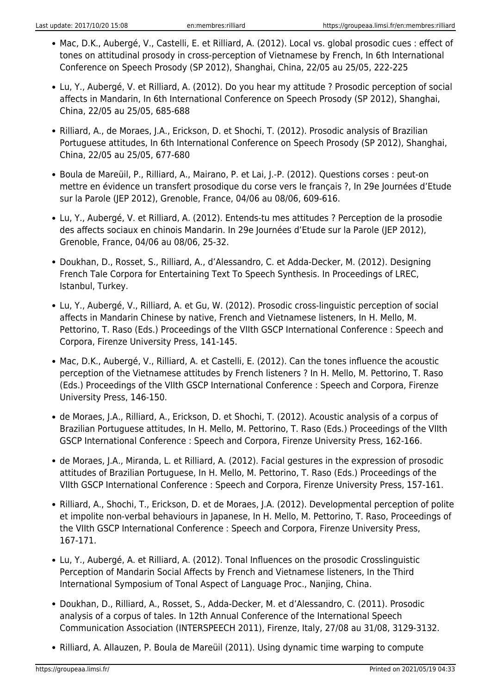- Mac, D.K., Aubergé, V., Castelli, E. et Rilliard, A. (2012). Local vs. global prosodic cues : effect of tones on attitudinal prosody in cross-perception of Vietnamese by French, In 6th International Conference on Speech Prosody (SP 2012), Shanghai, China, 22/05 au 25/05, 222-225
- Lu, Y., Aubergé, V. et Rilliard, A. (2012). Do you hear my attitude ? Prosodic perception of social affects in Mandarin, In 6th International Conference on Speech Prosody (SP 2012), Shanghai, China, 22/05 au 25/05, 685-688
- Rilliard, A., de Moraes, J.A., Erickson, D. et Shochi, T. (2012). Prosodic analysis of Brazilian Portuguese attitudes, In 6th International Conference on Speech Prosody (SP 2012), Shanghai, China, 22/05 au 25/05, 677-680
- Boula de Mareüil, P., Rilliard, A., Mairano, P. et Lai, J.-P. (2012). Questions corses : peut-on mettre en évidence un transfert prosodique du corse vers le français ?, In 29e Journées d'Etude sur la Parole (JEP 2012), Grenoble, France, 04/06 au 08/06, 609-616.
- Lu, Y., Aubergé, V. et Rilliard, A. (2012). Entends-tu mes attitudes ? Perception de la prosodie des affects sociaux en chinois Mandarin. In 29e Journées d'Etude sur la Parole (JEP 2012), Grenoble, France, 04/06 au 08/06, 25-32.
- Doukhan, D., Rosset, S., Rilliard, A., d'Alessandro, C. et Adda-Decker, M. (2012). Designing French Tale Corpora for Entertaining Text To Speech Synthesis. In Proceedings of LREC, Istanbul, Turkey.
- Lu, Y., Aubergé, V., Rilliard, A. et Gu, W. (2012). Prosodic cross-linguistic perception of social affects in Mandarin Chinese by native, French and Vietnamese listeners, In H. Mello, M. Pettorino, T. Raso (Eds.) Proceedings of the VIIth GSCP International Conference : Speech and Corpora, Firenze University Press, 141-145.
- Mac, D.K., Aubergé, V., Rilliard, A. et Castelli, E. (2012). Can the tones influence the acoustic perception of the Vietnamese attitudes by French listeners ? In H. Mello, M. Pettorino, T. Raso (Eds.) Proceedings of the VIIth GSCP International Conference : Speech and Corpora, Firenze University Press, 146-150.
- de Moraes, J.A., Rilliard, A., Erickson, D. et Shochi, T. (2012). Acoustic analysis of a corpus of Brazilian Portuguese attitudes, In H. Mello, M. Pettorino, T. Raso (Eds.) Proceedings of the VIIth GSCP International Conference : Speech and Corpora, Firenze University Press, 162-166.
- de Moraes, J.A., Miranda, L. et Rilliard, A. (2012). Facial gestures in the expression of prosodic attitudes of Brazilian Portuguese, In H. Mello, M. Pettorino, T. Raso (Eds.) Proceedings of the VIIth GSCP International Conference : Speech and Corpora, Firenze University Press, 157-161.
- Rilliard, A., Shochi, T., Erickson, D. et de Moraes, J.A. (2012). Developmental perception of polite et impolite non-verbal behaviours in Japanese, In H. Mello, M. Pettorino, T. Raso, Proceedings of the VIIth GSCP International Conference : Speech and Corpora, Firenze University Press, 167-171.
- Lu, Y., Aubergé, A. et Rilliard, A. (2012). Tonal Influences on the prosodic Crosslinguistic Perception of Mandarin Social Affects by French and Vietnamese listeners, In the Third International Symposium of Tonal Aspect of Language Proc., Nanjing, China.
- Doukhan, D., Rilliard, A., Rosset, S., Adda-Decker, M. et d'Alessandro, C. (2011). Prosodic analysis of a corpus of tales. In 12th Annual Conference of the International Speech Communication Association (INTERSPEECH 2011), Firenze, Italy, 27/08 au 31/08, 3129-3132.
- Rilliard, A. Allauzen, P. Boula de Mareüil (2011). Using dynamic time warping to compute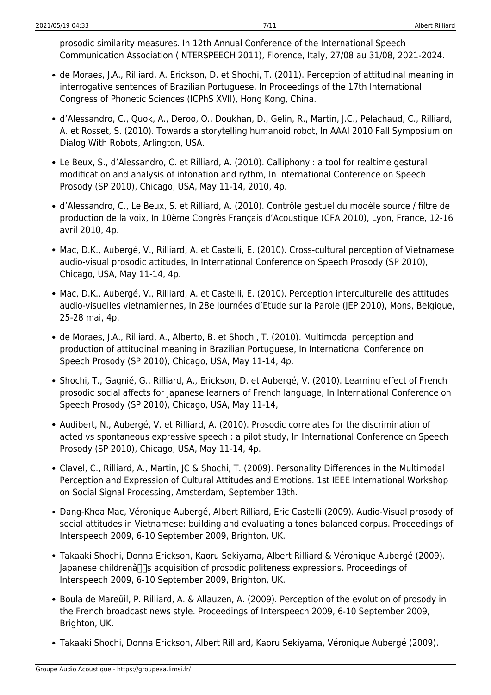prosodic similarity measures. In 12th Annual Conference of the International Speech Communication Association (INTERSPEECH 2011), Florence, Italy, 27/08 au 31/08, 2021-2024.

- de Moraes, J.A., Rilliard, A. Erickson, D. et Shochi, T. (2011). Perception of attitudinal meaning in interrogative sentences of Brazilian Portuguese. In Proceedings of the 17th International Congress of Phonetic Sciences (ICPhS XVII), Hong Kong, China.
- d'Alessandro, C., Quok, A., Deroo, O., Doukhan, D., Gelin, R., Martin, J.C., Pelachaud, C., Rilliard, A. et Rosset, S. (2010). Towards a storytelling humanoid robot, In AAAI 2010 Fall Symposium on Dialog With Robots, Arlington, USA.
- Le Beux, S., d'Alessandro, C. et Rilliard, A. (2010). Calliphony : a tool for realtime gestural modification and analysis of intonation and rythm, In International Conference on Speech Prosody (SP 2010), Chicago, USA, May 11-14, 2010, 4p.
- d'Alessandro, C., Le Beux, S. et Rilliard, A. (2010). Contrôle gestuel du modèle source / filtre de production de la voix, In 10ème Congrès Français d'Acoustique (CFA 2010), Lyon, France, 12-16 avril 2010, 4p.
- Mac, D.K., Aubergé, V., Rilliard, A. et Castelli, E. (2010). Cross-cultural perception of Vietnamese audio-visual prosodic attitudes, In International Conference on Speech Prosody (SP 2010), Chicago, USA, May 11-14, 4p.
- Mac, D.K., Aubergé, V., Rilliard, A. et Castelli, E. (2010). Perception interculturelle des attitudes audio-visuelles vietnamiennes, In 28e Journées d'Etude sur la Parole (JEP 2010), Mons, Belgique, 25-28 mai, 4p.
- de Moraes, J.A., Rilliard, A., Alberto, B. et Shochi, T. (2010). Multimodal perception and production of attitudinal meaning in Brazilian Portuguese, In International Conference on Speech Prosody (SP 2010), Chicago, USA, May 11-14, 4p.
- Shochi, T., Gagnié, G., Rilliard, A., Erickson, D. et Aubergé, V. (2010). Learning effect of French prosodic social affects for Japanese learners of French language, In International Conference on Speech Prosody (SP 2010), Chicago, USA, May 11-14,
- Audibert, N., Aubergé, V. et Rilliard, A. (2010). Prosodic correlates for the discrimination of acted vs spontaneous expressive speech : a pilot study, In International Conference on Speech Prosody (SP 2010), Chicago, USA, May 11-14, 4p.
- Clavel, C., Rilliard, A., Martin, JC & Shochi, T. (2009). Personality Differences in the Multimodal Perception and Expression of Cultural Attitudes and Emotions. 1st IEEE International Workshop on Social Signal Processing, Amsterdam, September 13th.
- Dang-Khoa Mac, Véronique Aubergé, Albert Rilliard, Eric Castelli (2009). Audio-Visual prosody of social attitudes in Vietnamese: building and evaluating a tones balanced corpus. Proceedings of Interspeech 2009, 6-10 September 2009, Brighton, UK.
- Takaaki Shochi, Donna Erickson, Kaoru Sekiyama, Albert Rilliard & Véronique Aubergé (2009). Iapanese childrenâ $\Box$ s acquisition of prosodic politeness expressions. Proceedings of Interspeech 2009, 6-10 September 2009, Brighton, UK.
- Boula de Mareüil, P. Rilliard, A. & Allauzen, A. (2009). Perception of the evolution of prosody in the French broadcast news style. Proceedings of Interspeech 2009, 6-10 September 2009, Brighton, UK.
- Takaaki Shochi, Donna Erickson, Albert Rilliard, Kaoru Sekiyama, Véronique Aubergé (2009).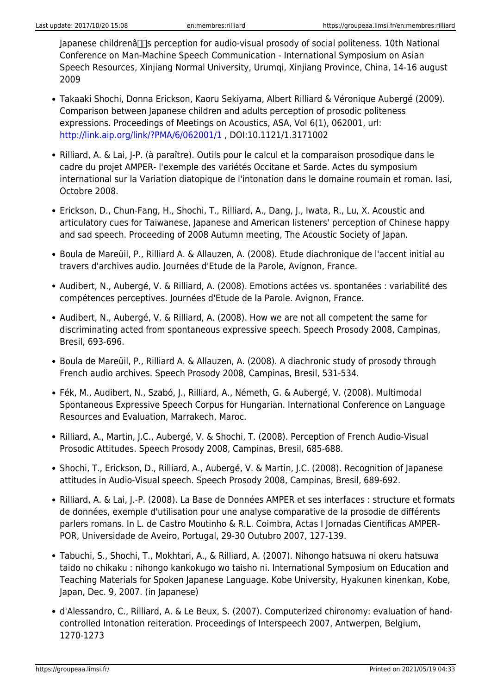$I$ apanese childrenâ $\Pi$ s perception for audio-visual prosody of social politeness. 10th National Conference on Man-Machine Speech Communication - International Symposium on Asian Speech Resources, Xinjiang Normal University, Urumqi, Xinjiang Province, China, 14-16 august 2009

- Takaaki Shochi, Donna Erickson, Kaoru Sekiyama, Albert Rilliard & Véronique Aubergé (2009). Comparison between Japanese children and adults perception of prosodic politeness expressions. Proceedings of Meetings on Acoustics, ASA, Vol 6(1), 062001, url: <http://link.aip.org/link/?PMA/6/062001/1> , DOI:10.1121/1.3171002
- Rilliard, A. & Lai, J-P. (à paraître). Outils pour le calcul et la comparaison prosodique dans le cadre du projet AMPER- l'exemple des variétés Occitane et Sarde. Actes du symposium international sur la Variation diatopique de l'intonation dans le domaine roumain et roman. Iasi, Octobre 2008.
- Erickson, D., Chun-Fang, H., Shochi, T., Rilliard, A., Dang, J., Iwata, R., Lu, X. Acoustic and articulatory cues for Taiwanese, Japanese and American listeners' perception of Chinese happy and sad speech. Proceeding of 2008 Autumn meeting, The Acoustic Society of Japan.
- Boula de Mareüil, P., Rilliard A. & Allauzen, A. (2008). Etude diachronique de l'accent initial au travers d'archives audio. Journées d'Etude de la Parole, Avignon, France.
- Audibert, N., Aubergé, V. & Rilliard, A. (2008). Emotions actées vs. spontanées : variabilité des compétences perceptives. Journées d'Etude de la Parole. Avignon, France.
- Audibert, N., Aubergé, V. & Rilliard, A. (2008). How we are not all competent the same for discriminating acted from spontaneous expressive speech. Speech Prosody 2008, Campinas, Bresil, 693-696.
- Boula de Mareüil, P., Rilliard A. & Allauzen, A. (2008). A diachronic study of prosody through French audio archives. Speech Prosody 2008, Campinas, Bresil, 531-534.
- Fék, M., Audibert, N., Szabó, J., Rilliard, A., Németh, G. & Aubergé, V. (2008). Multimodal Spontaneous Expressive Speech Corpus for Hungarian. International Conference on Language Resources and Evaluation, Marrakech, Maroc.
- Rilliard, A., Martin, J.C., Aubergé, V. & Shochi, T. (2008). Perception of French Audio-Visual Prosodic Attitudes. Speech Prosody 2008, Campinas, Bresil, 685-688.
- Shochi, T., Erickson, D., Rilliard, A., Aubergé, V. & Martin, J.C. (2008). Recognition of Japanese attitudes in Audio-Visual speech. Speech Prosody 2008, Campinas, Bresil, 689-692.
- Rilliard, A. & Lai, J.-P. (2008). La Base de Données AMPER et ses interfaces : structure et formats de données, exemple d'utilisation pour une analyse comparative de la prosodie de différents parlers romans. In L. de Castro Moutinho & R.L. Coimbra, Actas I Jornadas Cientificas AMPER-POR, Universidade de Aveiro, Portugal, 29-30 Outubro 2007, 127-139.
- Tabuchi, S., Shochi, T., Mokhtari, A., & Rilliard, A. (2007). Nihongo hatsuwa ni okeru hatsuwa taido no chikaku : nihongo kankokugo wo taisho ni. International Symposium on Education and Teaching Materials for Spoken Japanese Language. Kobe University, Hyakunen kinenkan, Kobe, Japan, Dec. 9, 2007. (in Japanese)
- d'Alessandro, C., Rilliard, A. & Le Beux, S. (2007). Computerized chironomy: evaluation of handcontrolled Intonation reiteration. Proceedings of Interspeech 2007, Antwerpen, Belgium, 1270-1273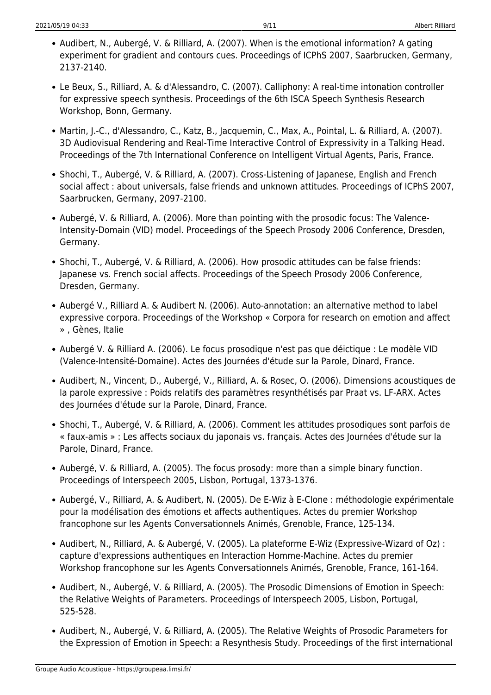- Audibert, N., Aubergé, V. & Rilliard, A. (2007). When is the emotional information? A gating experiment for gradient and contours cues. Proceedings of ICPhS 2007, Saarbrucken, Germany, 2137-2140.
- Le Beux, S., Rilliard, A. & d'Alessandro, C. (2007). Calliphony: A real-time intonation controller for expressive speech synthesis. Proceedings of the 6th ISCA Speech Synthesis Research Workshop, Bonn, Germany.
- Martin, J.-C., d'Alessandro, C., Katz, B., Jacquemin, C., Max, A., Pointal, L. & Rilliard, A. (2007). 3D Audiovisual Rendering and Real-Time Interactive Control of Expressivity in a Talking Head. Proceedings of the 7th International Conference on Intelligent Virtual Agents, Paris, France.
- Shochi, T., Aubergé, V. & Rilliard, A. (2007). Cross-Listening of Japanese, English and French social affect : about universals, false friends and unknown attitudes. Proceedings of ICPhS 2007, Saarbrucken, Germany, 2097-2100.
- Aubergé, V. & Rilliard, A. (2006). More than pointing with the prosodic focus: The Valence-Intensity-Domain (VID) model. Proceedings of the Speech Prosody 2006 Conference, Dresden, Germany.
- Shochi, T., Aubergé, V. & Rilliard, A. (2006). How prosodic attitudes can be false friends: Japanese vs. French social affects. Proceedings of the Speech Prosody 2006 Conference, Dresden, Germany.
- Aubergé V., Rilliard A. & Audibert N. (2006). Auto-annotation: an alternative method to label expressive corpora. Proceedings of the Workshop « Corpora for research on emotion and affect » , Gènes, Italie
- Aubergé V. & Rilliard A. (2006). Le focus prosodique n'est pas que déictique : Le modèle VID (Valence-Intensité-Domaine). Actes des Journées d'étude sur la Parole, Dinard, France.
- Audibert, N., Vincent, D., Aubergé, V., Rilliard, A. & Rosec, O. (2006). Dimensions acoustiques de la parole expressive : Poids relatifs des paramètres resynthétisés par Praat vs. LF-ARX. Actes des Journées d'étude sur la Parole, Dinard, France.
- Shochi, T., Aubergé, V. & Rilliard, A. (2006). Comment les attitudes prosodiques sont parfois de « faux-amis » : Les affects sociaux du japonais vs. français. Actes des Journées d'étude sur la Parole, Dinard, France.
- Aubergé, V. & Rilliard, A. (2005). The focus prosody: more than a simple binary function. Proceedings of Interspeech 2005, Lisbon, Portugal, 1373-1376.
- Aubergé, V., Rilliard, A. & Audibert, N. (2005). De E-Wiz à E-Clone : méthodologie expérimentale pour la modélisation des émotions et affects authentiques. Actes du premier Workshop francophone sur les Agents Conversationnels Animés, Grenoble, France, 125-134.
- Audibert, N., Rilliard, A. & Aubergé, V. (2005). La plateforme E-Wiz (Expressive-Wizard of Oz) : capture d'expressions authentiques en Interaction Homme-Machine. Actes du premier Workshop francophone sur les Agents Conversationnels Animés, Grenoble, France, 161-164.
- Audibert, N., Aubergé, V. & Rilliard, A. (2005). The Prosodic Dimensions of Emotion in Speech: the Relative Weights of Parameters. Proceedings of Interspeech 2005, Lisbon, Portugal, 525-528.
- Audibert, N., Aubergé, V. & Rilliard, A. (2005). The Relative Weights of Prosodic Parameters for the Expression of Emotion in Speech: a Resynthesis Study. Proceedings of the first international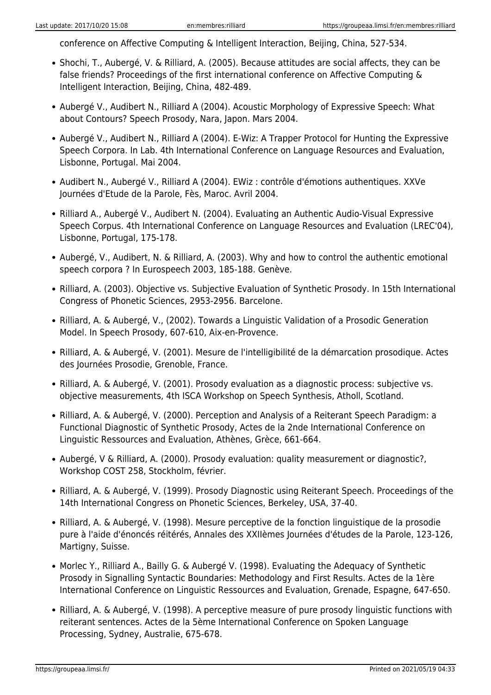conference on Affective Computing & Intelligent Interaction, Beijing, China, 527-534.

- Shochi, T., Aubergé, V. & Rilliard, A. (2005). Because attitudes are social affects, they can be false friends? Proceedings of the first international conference on Affective Computing & Intelligent Interaction, Beijing, China, 482-489.
- Aubergé V., Audibert N., Rilliard A (2004). Acoustic Morphology of Expressive Speech: What about Contours? Speech Prosody, Nara, Japon. Mars 2004.
- Aubergé V., Audibert N., Rilliard A (2004). E-Wiz: A Trapper Protocol for Hunting the Expressive Speech Corpora. In Lab. 4th International Conference on Language Resources and Evaluation, Lisbonne, Portugal. Mai 2004.
- Audibert N., Aubergé V., Rilliard A (2004). EWiz : contrôle d'émotions authentiques. XXVe Journées d'Etude de la Parole, Fès, Maroc. Avril 2004.
- Rilliard A., Aubergé V., Audibert N. (2004). Evaluating an Authentic Audio-Visual Expressive Speech Corpus. 4th International Conference on Language Resources and Evaluation (LREC'04), Lisbonne, Portugal, 175-178.
- Aubergé, V., Audibert, N. & Rilliard, A. (2003). Why and how to control the authentic emotional speech corpora ? In Eurospeech 2003, 185-188. Genève.
- Rilliard, A. (2003). Objective vs. Subjective Evaluation of Synthetic Prosody. In 15th International Congress of Phonetic Sciences, 2953-2956. Barcelone.
- Rilliard, A. & Aubergé, V., (2002). Towards a Linguistic Validation of a Prosodic Generation Model. In Speech Prosody, 607-610, Aix-en-Provence.
- Rilliard, A. & Aubergé, V. (2001). Mesure de l'intelligibilité de la démarcation prosodique. Actes des Journées Prosodie, Grenoble, France.
- Rilliard, A. & Aubergé, V. (2001). Prosody evaluation as a diagnostic process: subjective vs. objective measurements, 4th ISCA Workshop on Speech Synthesis, Atholl, Scotland.
- Rilliard, A. & Aubergé, V. (2000). Perception and Analysis of a Reiterant Speech Paradigm: a Functional Diagnostic of Synthetic Prosody, Actes de la 2nde International Conference on Linguistic Ressources and Evaluation, Athènes, Grèce, 661-664.
- Aubergé, V & Rilliard, A. (2000). Prosody evaluation: quality measurement or diagnostic?, Workshop COST 258, Stockholm, février.
- Rilliard, A. & Aubergé, V. (1999). Prosody Diagnostic using Reiterant Speech. Proceedings of the 14th International Congress on Phonetic Sciences, Berkeley, USA, 37-40.
- Rilliard, A. & Aubergé, V. (1998). Mesure perceptive de la fonction linguistique de la prosodie pure à l'aide d'énoncés réitérés, Annales des XXIIèmes Journées d'études de la Parole, 123-126, Martigny, Suisse.
- Morlec Y., Rilliard A., Bailly G. & Aubergé V. (1998). Evaluating the Adequacy of Synthetic Prosody in Signalling Syntactic Boundaries: Methodology and First Results. Actes de la 1ère International Conference on Linguistic Ressources and Evaluation, Grenade, Espagne, 647-650.
- Rilliard, A. & Aubergé, V. (1998). A perceptive measure of pure prosody linguistic functions with reiterant sentences. Actes de la 5ème International Conference on Spoken Language Processing, Sydney, Australie, 675-678.